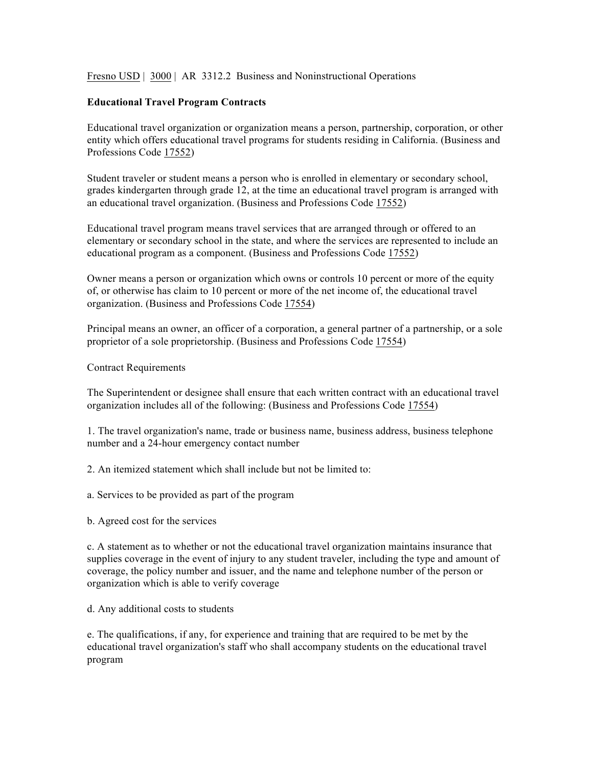Fresno USD | 3000 | AR 3312.2 Business and Noninstructional Operations

## **Educational Travel Program Contracts**

Educational travel organization or organization means a person, partnership, corporation, or other entity which offers educational travel programs for students residing in California. (Business and Professions Code 17552)

Student traveler or student means a person who is enrolled in elementary or secondary school, grades kindergarten through grade 12, at the time an educational travel program is arranged with an educational travel organization. (Business and Professions Code 17552)

Educational travel program means travel services that are arranged through or offered to an elementary or secondary school in the state, and where the services are represented to include an educational program as a component. (Business and Professions Code 17552)

Owner means a person or organization which owns or controls 10 percent or more of the equity of, or otherwise has claim to 10 percent or more of the net income of, the educational travel organization. (Business and Professions Code 17554)

Principal means an owner, an officer of a corporation, a general partner of a partnership, or a sole proprietor of a sole proprietorship. (Business and Professions Code 17554)

## Contract Requirements

The Superintendent or designee shall ensure that each written contract with an educational travel organization includes all of the following: (Business and Professions Code 17554)

1. The travel organization's name, trade or business name, business address, business telephone number and a 24-hour emergency contact number

2. An itemized statement which shall include but not be limited to:

- a. Services to be provided as part of the program
- b. Agreed cost for the services

c. A statement as to whether or not the educational travel organization maintains insurance that supplies coverage in the event of injury to any student traveler, including the type and amount of coverage, the policy number and issuer, and the name and telephone number of the person or organization which is able to verify coverage

d. Any additional costs to students

e. The qualifications, if any, for experience and training that are required to be met by the educational travel organization's staff who shall accompany students on the educational travel program